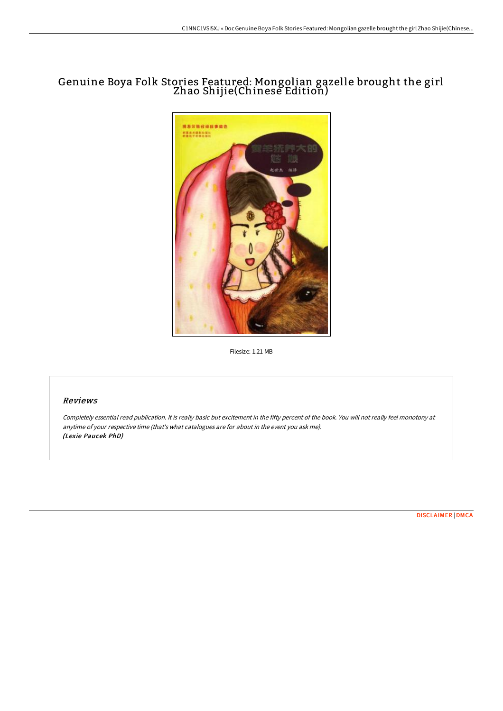## Genuine Boya Folk Stories Featured: Mongolian gazelle brought the girl Zhao Shijie(Chinese Edition)



Filesize: 1.21 MB

## Reviews

Completely essential read publication. It is really basic but excitement in the fifty percent of the book. You will not really feel monotony at anytime of your respective time (that's what catalogues are for about in the event you ask me). (Lexie Paucek PhD)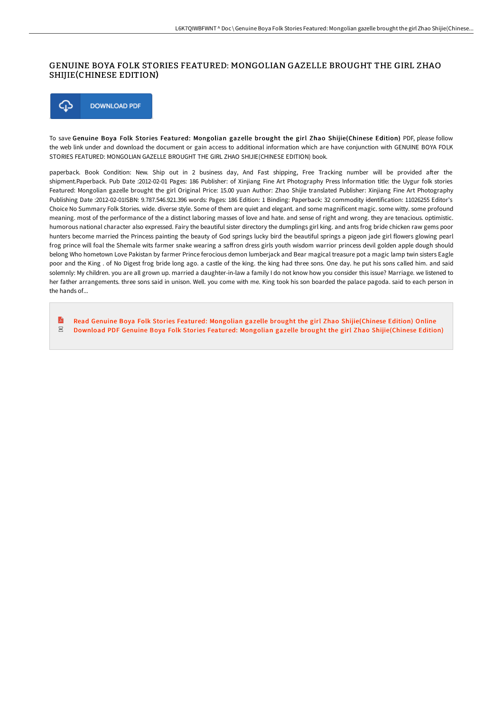## GENUINE BOYA FOLK STORIES FEATURED: MONGOLIAN GAZELLE BROUGHT THE GIRL ZHAO SHIJIE(CHINESE EDITION)



To save Genuine Boya Folk Stories Featured: Mongolian gazelle brought the girl Zhao Shijie(Chinese Edition) PDF, please follow the web link under and download the document or gain access to additional information which are have conjunction with GENUINE BOYA FOLK STORIES FEATURED: MONGOLIAN GAZELLE BROUGHT THE GIRL ZHAO SHIJIE(CHINESE EDITION) book.

paperback. Book Condition: New. Ship out in 2 business day, And Fast shipping, Free Tracking number will be provided after the shipment.Paperback. Pub Date :2012-02-01 Pages: 186 Publisher: of Xinjiang Fine Art Photography Press Information title: the Uygur folk stories Featured: Mongolian gazelle brought the girl Original Price: 15.00 yuan Author: Zhao Shijie translated Publisher: Xinjiang Fine Art Photography Publishing Date :2012-02-01ISBN: 9.787.546.921.396 words: Pages: 186 Edition: 1 Binding: Paperback: 32 commodity identification: 11026255 Editor's Choice No Summary Folk Stories. wide. diverse style. Some of them are quiet and elegant. and some magnificent magic. some witty. some profound meaning. most of the performance of the a distinct laboring masses of love and hate. and sense of right and wrong. they are tenacious. optimistic. humorous national character also expressed. Fairy the beautiful sister directory the dumplings girl king. and ants frog bride chicken raw gems poor hunters become married the Princess painting the beauty of God springs lucky bird the beautiful springs a pigeon jade girl flowers glowing pearl frog prince will foal the Shemale wits farmer snake wearing a saffron dress girls youth wisdom warrior princess devil golden apple dough should belong Who hometown Love Pakistan by farmer Prince ferocious demon lumberjack and Bear magical treasure pot a magic lamp twin sisters Eagle poor and the King . of No Digest frog bride long ago. a castle of the king. the king had three sons. One day. he put his sons called him. and said solemnly: My children. you are all grown up. married a daughter-in-law a family I do not know how you consider this issue? Marriage. we listened to her father arrangements. three sons said in unison. Well. you come with me. King took his son boarded the palace pagoda. said to each person in the hands of...

 $\mathbf{E}$ Read Genuine Boya Folk Stories Featured: Mongolian gazelle brought the girl Zhao [Shijie\(Chinese](http://www.bookdirs.com/genuine-boya-folk-stories-featured-mongolian-gaz.html) Edition) Online  $_{\rm PDF}$ Download PDF Genuine Boya Folk Stories Featured: Mongolian gazelle brought the girl Zhao [Shijie\(Chinese](http://www.bookdirs.com/genuine-boya-folk-stories-featured-mongolian-gaz.html) Edition)